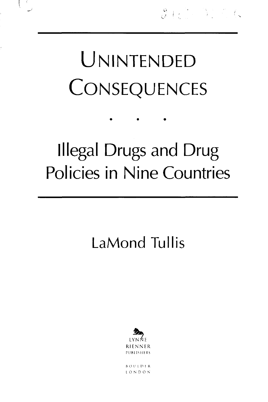## UNINTENDED CONSEQUENCES

## Illegal Drugs and Drug Policies in Nine Countries

## **LaMond Tullis**



 $10NDON$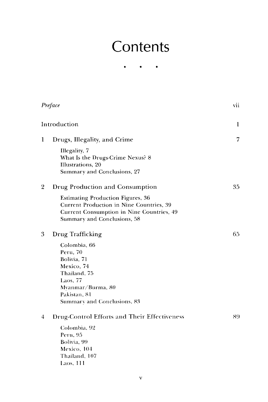## **Contents**

 $\bullet$  $\bullet$  $\bullet$ 

| Preface<br>Introduction |                                                                                                                                                                  | vii |
|-------------------------|------------------------------------------------------------------------------------------------------------------------------------------------------------------|-----|
|                         |                                                                                                                                                                  | 1   |
| 1                       | Drugs, Illegality, and Crime                                                                                                                                     | 7   |
|                         | Illegality, 7<br>What Is the Drugs-Crime Nexus? 8<br>Illustrations, 20<br>Summary and Conclusions, 27                                                            |     |
| $\overline{2}$          | Drug Production and Consumption                                                                                                                                  | 35  |
|                         | <b>Estimating Production Figures, 36</b><br>Current Production in Nine Countries, 39<br>Current Consumption in Nine Countries, 49<br>Summary and Conclusions, 58 |     |
| 3                       | Drug Trafficking                                                                                                                                                 | 65. |
|                         | Colombia, 66<br>Peru, 70<br>Bolivia, 71<br>Mexico, 74<br>Thailand, 75<br>Laos, 77<br>Mvanmar/Burma, 80<br>Pakistan, 81<br>Summary and Conclusions, 83            |     |
| $\overline{4}$          | <b>Drug-Control Efforts and Their Effectiveness</b>                                                                                                              | 89  |
|                         | Colombia, 92<br>Peru, 95<br>Bolivia, 99<br>Mexico, 104<br>Thailand, 107<br>Laos, 111                                                                             |     |